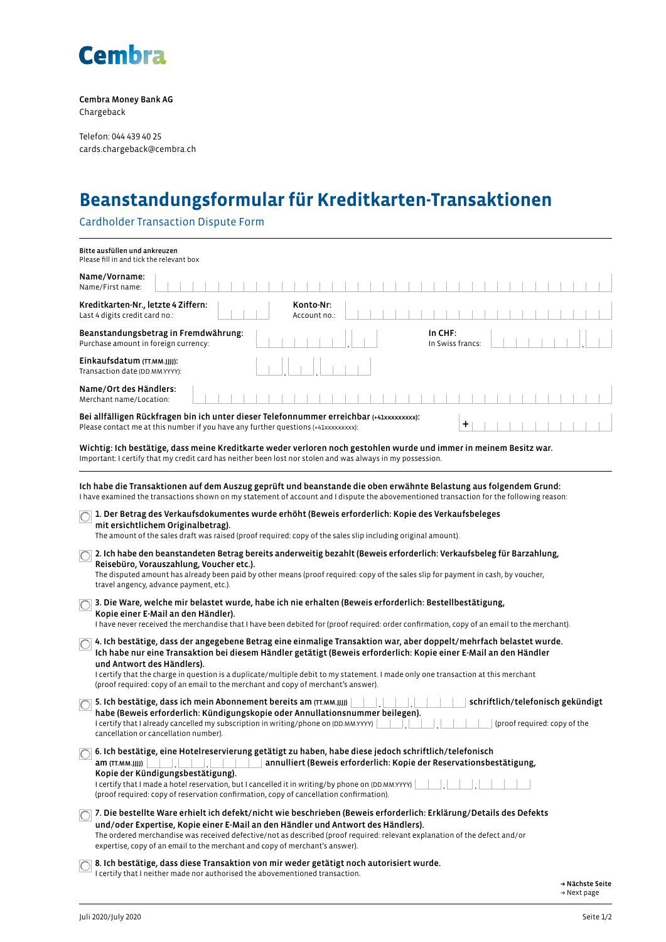

Cembra Money Bank AG Chargeback

Telefon: 044 439 40 25 cards.chargeback@cembra.ch

## **Beanstandungsformular für Kreditkarten-Transaktionen**

Cardholder Transaction Dispute Form

| Bitte ausfüllen und ankreuzen<br>Please fill in and tick the relevant box                                                                                                                                                                                                                                                                                                                                                                                                                                                                                                                                                                                                                                                                                                                                                                                                                                                                                                                                                                                                                                                                                                                                                                                                                                                                                                                                                                                                                                                                                                                                                                                                                                        |  |  |  |  |  |  |  |  |  |  |  |  |  |  |
|------------------------------------------------------------------------------------------------------------------------------------------------------------------------------------------------------------------------------------------------------------------------------------------------------------------------------------------------------------------------------------------------------------------------------------------------------------------------------------------------------------------------------------------------------------------------------------------------------------------------------------------------------------------------------------------------------------------------------------------------------------------------------------------------------------------------------------------------------------------------------------------------------------------------------------------------------------------------------------------------------------------------------------------------------------------------------------------------------------------------------------------------------------------------------------------------------------------------------------------------------------------------------------------------------------------------------------------------------------------------------------------------------------------------------------------------------------------------------------------------------------------------------------------------------------------------------------------------------------------------------------------------------------------------------------------------------------------|--|--|--|--|--|--|--|--|--|--|--|--|--|--|
| Name/Vorname:<br>Name/First name:                                                                                                                                                                                                                                                                                                                                                                                                                                                                                                                                                                                                                                                                                                                                                                                                                                                                                                                                                                                                                                                                                                                                                                                                                                                                                                                                                                                                                                                                                                                                                                                                                                                                                |  |  |  |  |  |  |  |  |  |  |  |  |  |  |
| Kreditkarten-Nr., letzte 4 Ziffern:<br>Konto-Nr:<br>Last 4 digits credit card no.:<br>Account no.:                                                                                                                                                                                                                                                                                                                                                                                                                                                                                                                                                                                                                                                                                                                                                                                                                                                                                                                                                                                                                                                                                                                                                                                                                                                                                                                                                                                                                                                                                                                                                                                                               |  |  |  |  |  |  |  |  |  |  |  |  |  |  |
| Beanstandungsbetrag in Fremdwährung:<br>In CHF:<br>Purchase amount in foreign currency:<br>In Swiss francs:                                                                                                                                                                                                                                                                                                                                                                                                                                                                                                                                                                                                                                                                                                                                                                                                                                                                                                                                                                                                                                                                                                                                                                                                                                                                                                                                                                                                                                                                                                                                                                                                      |  |  |  |  |  |  |  |  |  |  |  |  |  |  |
| Einkaufsdatum (TT.MM.JJJJ):<br>Transaction date (DD.MM.YYYY):                                                                                                                                                                                                                                                                                                                                                                                                                                                                                                                                                                                                                                                                                                                                                                                                                                                                                                                                                                                                                                                                                                                                                                                                                                                                                                                                                                                                                                                                                                                                                                                                                                                    |  |  |  |  |  |  |  |  |  |  |  |  |  |  |
| Name/Ort des Händlers:<br>Merchant name/Location:                                                                                                                                                                                                                                                                                                                                                                                                                                                                                                                                                                                                                                                                                                                                                                                                                                                                                                                                                                                                                                                                                                                                                                                                                                                                                                                                                                                                                                                                                                                                                                                                                                                                |  |  |  |  |  |  |  |  |  |  |  |  |  |  |
| Bei allfälligen Rückfragen bin ich unter dieser Telefonnummer erreichbar (+41xxxxxxxxx):<br>+<br>Please contact me at this number if you have any further questions (+41xxxxxxxxx):                                                                                                                                                                                                                                                                                                                                                                                                                                                                                                                                                                                                                                                                                                                                                                                                                                                                                                                                                                                                                                                                                                                                                                                                                                                                                                                                                                                                                                                                                                                              |  |  |  |  |  |  |  |  |  |  |  |  |  |  |
| Wichtig: Ich bestätige, dass meine Kreditkarte weder verloren noch gestohlen wurde und immer in meinem Besitz war.<br>Important: I certify that my credit card has neither been lost nor stolen and was always in my possession.                                                                                                                                                                                                                                                                                                                                                                                                                                                                                                                                                                                                                                                                                                                                                                                                                                                                                                                                                                                                                                                                                                                                                                                                                                                                                                                                                                                                                                                                                 |  |  |  |  |  |  |  |  |  |  |  |  |  |  |
| Ich habe die Transaktionen auf dem Auszug geprüft und beanstande die oben erwähnte Belastung aus folgendem Grund:<br>I have examined the transactions shown on my statement of account and I dispute the abovementioned transaction for the following reason:<br>1. Der Betrag des Verkaufsdokumentes wurde erhöht (Beweis erforderlich: Kopie des Verkaufsbeleges<br>O<br>mit ersichtlichem Originalbetrag).<br>The amount of the sales draft was raised (proof required: copy of the sales slip including original amount).<br>2. Ich habe den beanstandeten Betrag bereits anderweitig bezahlt (Beweis erforderlich: Verkaufsbeleg für Barzahlung,<br>$\bigcirc$<br>Reisebüro, Vorauszahlung, Voucher etc.).<br>The disputed amount has already been paid by other means (proof required: copy of the sales slip for payment in cash, by voucher,<br>travel angency, advance payment, etc.).<br>3. Die Ware, welche mir belastet wurde, habe ich nie erhalten (Beweis erforderlich: Bestellbestätigung,<br>Kopie einer E-Mail an den Händler).<br>I have never received the merchandise that I have been debited for (proof required: order confirmation, copy of an email to the merchant).<br>4. Ich bestätige, dass der angegebene Betrag eine einmalige Transaktion war, aber doppelt/mehrfach belastet wurde.<br>$\bigcirc$<br>Ich habe nur eine Transaktion bei diesem Händler getätigt (Beweis erforderlich: Kopie einer E-Mail an den Händler<br>und Antwort des Händlers).<br>I certify that the charge in question is a duplicate/multiple debit to my statement. I made only one transaction at this merchant<br>(proof required: copy of an email to the merchant and copy of merchant's answer). |  |  |  |  |  |  |  |  |  |  |  |  |  |  |
| 5. Ich bestätige, dass ich mein Abonnement bereits am (TT.MM.JJJJ)<br>schriftlich/telefonisch gekündigt<br>habe (Beweis erforderlich: Kündigungskopie oder Annullationsnummer beilegen).<br>I certify that I already cancelled my subscription in writing/phone on (DD.MM.YYYY)<br>(proof required: copy of the<br>cancellation or cancellation number).                                                                                                                                                                                                                                                                                                                                                                                                                                                                                                                                                                                                                                                                                                                                                                                                                                                                                                                                                                                                                                                                                                                                                                                                                                                                                                                                                         |  |  |  |  |  |  |  |  |  |  |  |  |  |  |
| 6. Ich bestätige, eine Hotelreservierung getätigt zu haben, habe diese jedoch schriftlich/telefonisch<br>annulliert (Beweis erforderlich: Kopie der Reservationsbestätigung,<br>am (TT.MM.JJJJ)<br>Kopie der Kündigungsbestätigung).<br>I certify that I made a hotel reservation, but I cancelled it in writing/by phone on (DD.MM.YYYY)<br>(proof required: copy of reservation confirmation, copy of cancellation confirmation).                                                                                                                                                                                                                                                                                                                                                                                                                                                                                                                                                                                                                                                                                                                                                                                                                                                                                                                                                                                                                                                                                                                                                                                                                                                                              |  |  |  |  |  |  |  |  |  |  |  |  |  |  |
| 7. Die bestellte Ware erhielt ich defekt/nicht wie beschrieben (Beweis erforderlich: Erklärung/Details des Defekts<br>$\bigcirc$<br>und/oder Expertise, Kopie einer E-Mail an den Händler und Antwort des Händlers).<br>The ordered merchandise was received defective/not as described (proof required: relevant explanation of the defect and/or<br>expertise, copy of an email to the merchant and copy of merchant's answer).                                                                                                                                                                                                                                                                                                                                                                                                                                                                                                                                                                                                                                                                                                                                                                                                                                                                                                                                                                                                                                                                                                                                                                                                                                                                                |  |  |  |  |  |  |  |  |  |  |  |  |  |  |
| 8. Ich bestätige, dass diese Transaktion von mir weder getätigt noch autorisiert wurde.<br>I certify that I neither made nor authorised the abovementioned transaction.                                                                                                                                                                                                                                                                                                                                                                                                                                                                                                                                                                                                                                                                                                                                                                                                                                                                                                                                                                                                                                                                                                                                                                                                                                                                                                                                                                                                                                                                                                                                          |  |  |  |  |  |  |  |  |  |  |  |  |  |  |

→ Nächste Seite  $\rightarrow$  Next page